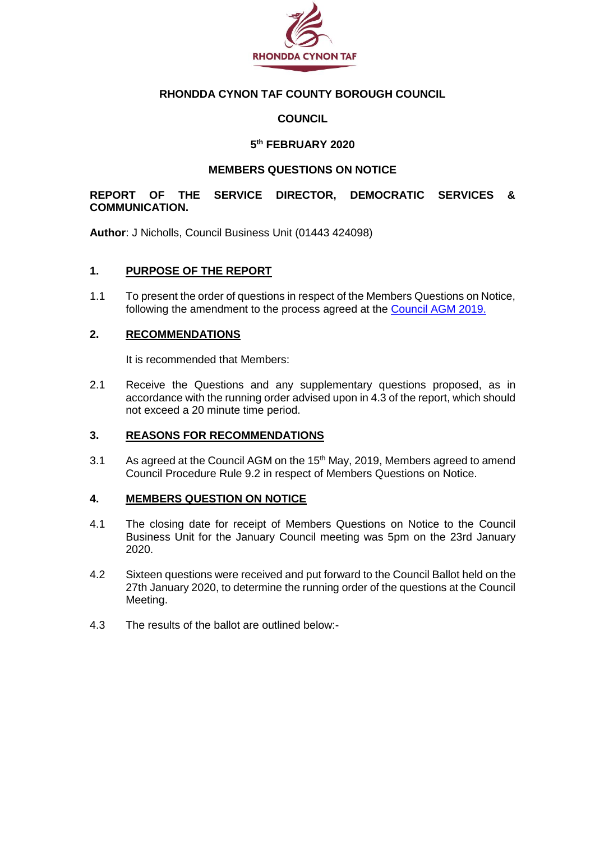

## **RHONDDA CYNON TAF COUNTY BOROUGH COUNCIL**

### **COUNCIL**

### **5 th FEBRUARY 2020**

#### **MEMBERS QUESTIONS ON NOTICE**

### **REPORT OF THE SERVICE DIRECTOR, DEMOCRATIC SERVICES & COMMUNICATION.**

**Author**: J Nicholls, Council Business Unit (01443 424098)

#### **1. PURPOSE OF THE REPORT**

1.1 To present the order of questions in respect of the Members Questions on Notice, following the amendment to the process agreed at the [Council AGM 2019.](https://www.rctcbc.gov.uk/EN/Council/CouncillorsCommitteesandMeetings/Meetings/Council/2019/05/15/Reports/Item7TheCouncilsConstitutionProposedAmendmentsAndAncillaryMatters.pdf)

#### **2. RECOMMENDATIONS**

It is recommended that Members:

2.1 Receive the Questions and any supplementary questions proposed, as in accordance with the running order advised upon in 4.3 of the report, which should not exceed a 20 minute time period.

#### **3. REASONS FOR RECOMMENDATIONS**

3.1 As agreed at the Council AGM on the 15<sup>th</sup> May, 2019, Members agreed to amend Council Procedure Rule 9.2 in respect of Members Questions on Notice.

#### **4. MEMBERS QUESTION ON NOTICE**

- 4.1 The closing date for receipt of Members Questions on Notice to the Council Business Unit for the January Council meeting was 5pm on the 23rd January 2020.
- 4.2 Sixteen questions were received and put forward to the Council Ballot held on the 27th January 2020, to determine the running order of the questions at the Council Meeting.
- 4.3 The results of the ballot are outlined below:-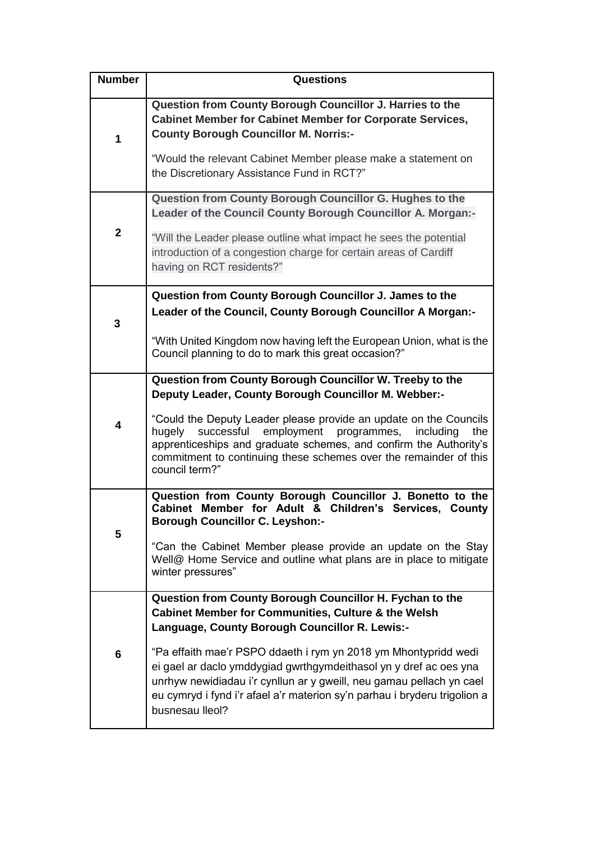| <b>Number</b> | Questions                                                                                                                                                                                                                                                                                                    |
|---------------|--------------------------------------------------------------------------------------------------------------------------------------------------------------------------------------------------------------------------------------------------------------------------------------------------------------|
| 1             | Question from County Borough Councillor J. Harries to the<br><b>Cabinet Member for Cabinet Member for Corporate Services,</b><br><b>County Borough Councillor M. Norris:-</b><br>"Would the relevant Cabinet Member please make a statement on                                                               |
|               | the Discretionary Assistance Fund in RCT?"                                                                                                                                                                                                                                                                   |
|               | Question from County Borough Councillor G. Hughes to the<br>Leader of the Council County Borough Councillor A. Morgan:-                                                                                                                                                                                      |
| $\mathbf{2}$  | "Will the Leader please outline what impact he sees the potential<br>introduction of a congestion charge for certain areas of Cardiff<br>having on RCT residents?"                                                                                                                                           |
|               | Question from County Borough Councillor J. James to the                                                                                                                                                                                                                                                      |
| 3             | Leader of the Council, County Borough Councillor A Morgan:-                                                                                                                                                                                                                                                  |
|               | "With United Kingdom now having left the European Union, what is the<br>Council planning to do to mark this great occasion?"                                                                                                                                                                                 |
|               | Question from County Borough Councillor W. Treeby to the<br>Deputy Leader, County Borough Councillor M. Webber:-                                                                                                                                                                                             |
| 4             | "Could the Deputy Leader please provide an update on the Councils<br>hugely<br>successful<br>employment<br>programmes,<br>including<br>the<br>apprenticeships and graduate schemes, and confirm the Authority's<br>commitment to continuing these schemes over the remainder of this<br>council term?"       |
| 5             | Question from County Borough Councillor J. Bonetto to the<br>Cabinet Member for Adult & Children's Services, County<br><b>Borough Councillor C. Leyshon:-</b>                                                                                                                                                |
|               | "Can the Cabinet Member please provide an update on the Stay<br>Well@ Home Service and outline what plans are in place to mitigate<br>winter pressures"                                                                                                                                                      |
|               | Question from County Borough Councillor H. Fychan to the<br><b>Cabinet Member for Communities, Culture &amp; the Welsh</b>                                                                                                                                                                                   |
|               | Language, County Borough Councillor R. Lewis:-                                                                                                                                                                                                                                                               |
| 6             | "Pa effaith mae'r PSPO ddaeth i rym yn 2018 ym Mhontypridd wedi<br>ei gael ar daclo ymddygiad gwrthgymdeithasol yn y dref ac oes yna<br>unrhyw newidiadau i'r cynllun ar y gweill, neu gamau pellach yn cael<br>eu cymryd i fynd i'r afael a'r materion sy'n parhau i bryderu trigolion a<br>busnesau lleol? |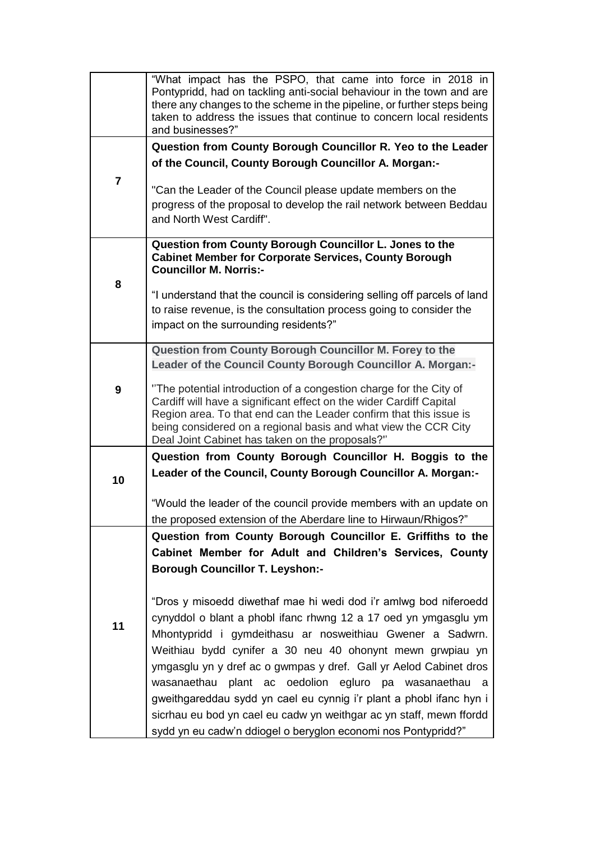|                | "What impact has the PSPO, that came into force in 2018 in<br>Pontypridd, had on tackling anti-social behaviour in the town and are<br>there any changes to the scheme in the pipeline, or further steps being<br>taken to address the issues that continue to concern local residents |
|----------------|----------------------------------------------------------------------------------------------------------------------------------------------------------------------------------------------------------------------------------------------------------------------------------------|
|                | and businesses?"                                                                                                                                                                                                                                                                       |
|                | Question from County Borough Councillor R. Yeo to the Leader                                                                                                                                                                                                                           |
|                | of the Council, County Borough Councillor A. Morgan:-                                                                                                                                                                                                                                  |
| $\overline{7}$ | "Can the Leader of the Council please update members on the                                                                                                                                                                                                                            |
|                | progress of the proposal to develop the rail network between Beddau                                                                                                                                                                                                                    |
|                | and North West Cardiff".                                                                                                                                                                                                                                                               |
|                | Question from County Borough Councillor L. Jones to the                                                                                                                                                                                                                                |
|                | <b>Cabinet Member for Corporate Services, County Borough</b><br><b>Councillor M. Norris:-</b>                                                                                                                                                                                          |
| 8              | "I understand that the council is considering selling off parcels of land                                                                                                                                                                                                              |
|                | to raise revenue, is the consultation process going to consider the                                                                                                                                                                                                                    |
|                | impact on the surrounding residents?"                                                                                                                                                                                                                                                  |
|                | Question from County Borough Councillor M. Forey to the                                                                                                                                                                                                                                |
|                | Leader of the Council County Borough Councillor A. Morgan:-                                                                                                                                                                                                                            |
| 9              | "The potential introduction of a congestion charge for the City of                                                                                                                                                                                                                     |
|                | Cardiff will have a significant effect on the wider Cardiff Capital                                                                                                                                                                                                                    |
|                | Region area. To that end can the Leader confirm that this issue is<br>being considered on a regional basis and what view the CCR City                                                                                                                                                  |
|                | Deal Joint Cabinet has taken on the proposals?"                                                                                                                                                                                                                                        |
|                | Question from County Borough Councillor H. Boggis to the                                                                                                                                                                                                                               |
| 10             | Leader of the Council, County Borough Councillor A. Morgan:-                                                                                                                                                                                                                           |
|                | "Would the leader of the council provide members with an update on                                                                                                                                                                                                                     |
|                | the proposed extension of the Aberdare line to Hirwaun/Rhigos?"                                                                                                                                                                                                                        |
|                | Question from County Borough Councillor E. Griffiths to the                                                                                                                                                                                                                            |
|                | Cabinet Member for Adult and Children's Services, County                                                                                                                                                                                                                               |
|                | <b>Borough Councillor T. Leyshon:-</b>                                                                                                                                                                                                                                                 |
|                | "Dros y misoedd diwethaf mae hi wedi dod i'r amlwg bod niferoedd                                                                                                                                                                                                                       |
|                | cynyddol o blant a phobl ifanc rhwng 12 a 17 oed yn ymgasglu ym                                                                                                                                                                                                                        |
| 11             | Mhontypridd i gymdeithasu ar nosweithiau Gwener a Sadwrn.                                                                                                                                                                                                                              |
|                | Weithiau bydd cynifer a 30 neu 40 ohonynt mewn grwpiau yn                                                                                                                                                                                                                              |
|                | ymgasglu yn y dref ac o gwmpas y dref. Gall yr Aelod Cabinet dros                                                                                                                                                                                                                      |
|                | wasanaethau plant ac oedolion egluro pa wasanaethau a                                                                                                                                                                                                                                  |
|                | gweithgareddau sydd yn cael eu cynnig i'r plant a phobl ifanc hyn i                                                                                                                                                                                                                    |
|                | sicrhau eu bod yn cael eu cadw yn weithgar ac yn staff, mewn ffordd<br>sydd yn eu cadw'n ddiogel o beryglon economi nos Pontypridd?"                                                                                                                                                   |
|                |                                                                                                                                                                                                                                                                                        |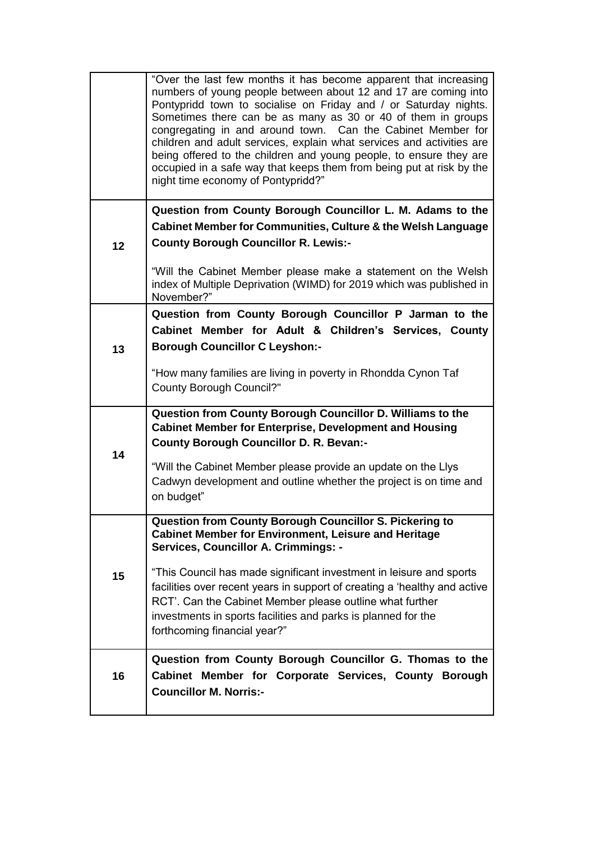|    | "Over the last few months it has become apparent that increasing<br>numbers of young people between about 12 and 17 are coming into<br>Pontypridd town to socialise on Friday and / or Saturday nights.<br>Sometimes there can be as many as 30 or 40 of them in groups<br>congregating in and around town. Can the Cabinet Member for<br>children and adult services, explain what services and activities are<br>being offered to the children and young people, to ensure they are<br>occupied in a safe way that keeps them from being put at risk by the<br>night time economy of Pontypridd?" |
|----|-----------------------------------------------------------------------------------------------------------------------------------------------------------------------------------------------------------------------------------------------------------------------------------------------------------------------------------------------------------------------------------------------------------------------------------------------------------------------------------------------------------------------------------------------------------------------------------------------------|
|    | Question from County Borough Councillor L. M. Adams to the                                                                                                                                                                                                                                                                                                                                                                                                                                                                                                                                          |
|    | <b>Cabinet Member for Communities, Culture &amp; the Welsh Language</b>                                                                                                                                                                                                                                                                                                                                                                                                                                                                                                                             |
| 12 | <b>County Borough Councillor R. Lewis:-</b>                                                                                                                                                                                                                                                                                                                                                                                                                                                                                                                                                         |
|    | "Will the Cabinet Member please make a statement on the Welsh<br>index of Multiple Deprivation (WIMD) for 2019 which was published in<br>November?"                                                                                                                                                                                                                                                                                                                                                                                                                                                 |
|    | Question from County Borough Councillor P Jarman to the                                                                                                                                                                                                                                                                                                                                                                                                                                                                                                                                             |
|    | Cabinet Member for Adult & Children's Services, County                                                                                                                                                                                                                                                                                                                                                                                                                                                                                                                                              |
| 13 | <b>Borough Councillor C Leyshon:-</b>                                                                                                                                                                                                                                                                                                                                                                                                                                                                                                                                                               |
|    | "How many families are living in poverty in Rhondda Cynon Taf<br><b>County Borough Council?"</b>                                                                                                                                                                                                                                                                                                                                                                                                                                                                                                    |
|    | Question from County Borough Councillor D. Williams to the                                                                                                                                                                                                                                                                                                                                                                                                                                                                                                                                          |
| 14 | <b>Cabinet Member for Enterprise, Development and Housing</b><br><b>County Borough Councillor D. R. Bevan:-</b>                                                                                                                                                                                                                                                                                                                                                                                                                                                                                     |
|    | "Will the Cabinet Member please provide an update on the Llys                                                                                                                                                                                                                                                                                                                                                                                                                                                                                                                                       |
|    | Cadwyn development and outline whether the project is on time and                                                                                                                                                                                                                                                                                                                                                                                                                                                                                                                                   |
|    | on budget"                                                                                                                                                                                                                                                                                                                                                                                                                                                                                                                                                                                          |
|    | Question from County Borough Councillor S. Pickering to                                                                                                                                                                                                                                                                                                                                                                                                                                                                                                                                             |
|    | <b>Cabinet Member for Environment, Leisure and Heritage</b><br>Services, Councillor A. Crimmings: -                                                                                                                                                                                                                                                                                                                                                                                                                                                                                                 |
|    | "This Council has made significant investment in leisure and sports                                                                                                                                                                                                                                                                                                                                                                                                                                                                                                                                 |
| 15 | facilities over recent years in support of creating a 'healthy and active                                                                                                                                                                                                                                                                                                                                                                                                                                                                                                                           |
|    | RCT'. Can the Cabinet Member please outline what further                                                                                                                                                                                                                                                                                                                                                                                                                                                                                                                                            |
|    | investments in sports facilities and parks is planned for the<br>forthcoming financial year?"                                                                                                                                                                                                                                                                                                                                                                                                                                                                                                       |
|    | Question from County Borough Councillor G. Thomas to the                                                                                                                                                                                                                                                                                                                                                                                                                                                                                                                                            |
| 16 | Cabinet Member for Corporate Services, County Borough                                                                                                                                                                                                                                                                                                                                                                                                                                                                                                                                               |
|    | <b>Councillor M. Norris:-</b>                                                                                                                                                                                                                                                                                                                                                                                                                                                                                                                                                                       |
|    |                                                                                                                                                                                                                                                                                                                                                                                                                                                                                                                                                                                                     |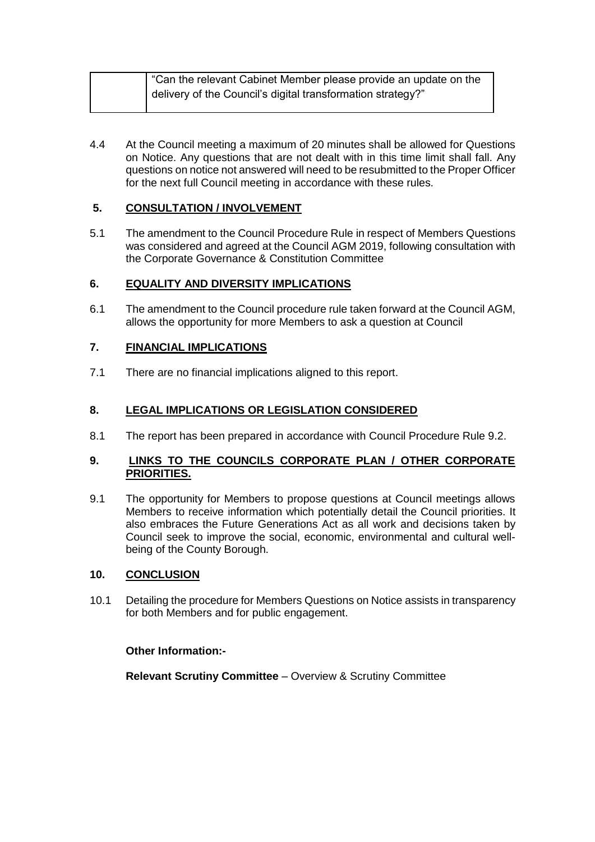| "Can the relevant Cabinet Member please provide an update on the |
|------------------------------------------------------------------|
| delivery of the Council's digital transformation strategy?"      |
|                                                                  |

4.4 At the Council meeting a maximum of 20 minutes shall be allowed for Questions on Notice. Any questions that are not dealt with in this time limit shall fall. Any questions on notice not answered will need to be resubmitted to the Proper Officer for the next full Council meeting in accordance with these rules.

## **5. CONSULTATION / INVOLVEMENT**

5.1 The amendment to the Council Procedure Rule in respect of Members Questions was considered and agreed at the Council AGM 2019, following consultation with the Corporate Governance & Constitution Committee

## **6. EQUALITY AND DIVERSITY IMPLICATIONS**

6.1 The amendment to the Council procedure rule taken forward at the Council AGM, allows the opportunity for more Members to ask a question at Council

## **7. FINANCIAL IMPLICATIONS**

7.1 There are no financial implications aligned to this report.

#### **8. LEGAL IMPLICATIONS OR LEGISLATION CONSIDERED**

8.1 The report has been prepared in accordance with Council Procedure Rule 9.2.

#### **9. LINKS TO THE COUNCILS CORPORATE PLAN / OTHER CORPORATE PRIORITIES.**

9.1 The opportunity for Members to propose questions at Council meetings allows Members to receive information which potentially detail the Council priorities. It also embraces the Future Generations Act as all work and decisions taken by Council seek to improve the social, economic, environmental and cultural wellbeing of the County Borough.

#### **10. CONCLUSION**

10.1 Detailing the procedure for Members Questions on Notice assists in transparency for both Members and for public engagement.

#### **Other Information:-**

**Relevant Scrutiny Committee** – Overview & Scrutiny Committee